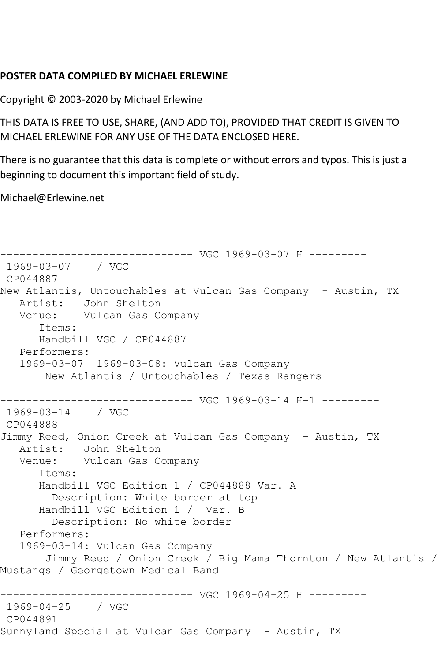## **POSTER DATA COMPILED BY MICHAEL ERLEWINE**

Copyright © 2003-2020 by Michael Erlewine

THIS DATA IS FREE TO USE, SHARE, (AND ADD TO), PROVIDED THAT CREDIT IS GIVEN TO MICHAEL ERLEWINE FOR ANY USE OF THE DATA ENCLOSED HERE.

There is no guarantee that this data is complete or without errors and typos. This is just a beginning to document this important field of study.

Michael@Erlewine.net

```
------------------------------ VGC 1969-03-07 H ---------
1969-03-07 / VGC 
CP044887
New Atlantis, Untouchables at Vulcan Gas Company - Austin, TX
   Artist: John Shelton
   Venue: Vulcan Gas Company
      Items:
      Handbill VGC / CP044887
   Performers:
   1969-03-07 1969-03-08: Vulcan Gas Company
        New Atlantis / Untouchables / Texas Rangers
                   ------------------------------ VGC 1969-03-14 H-1 ---------
1969-03-14 / VGC 
CP044888
Jimmy Reed, Onion Creek at Vulcan Gas Company - Austin, TX
   Artist: John Shelton
   Venue: Vulcan Gas Company
       Items:
      Handbill VGC Edition 1 / CP044888 Var. A
         Description: White border at top
       Handbill VGC Edition 1 / Var. B
         Description: No white border
   Performers:
   1969-03-14: Vulcan Gas Company
        Jimmy Reed / Onion Creek / Big Mama Thornton / New Atlantis / 
Mustangs / Georgetown Medical Band
        ------------------------------ VGC 1969-04-25 H ---------
1969-04-25 / VGC 
CP044891
Sunnyland Special at Vulcan Gas Company - Austin, TX
```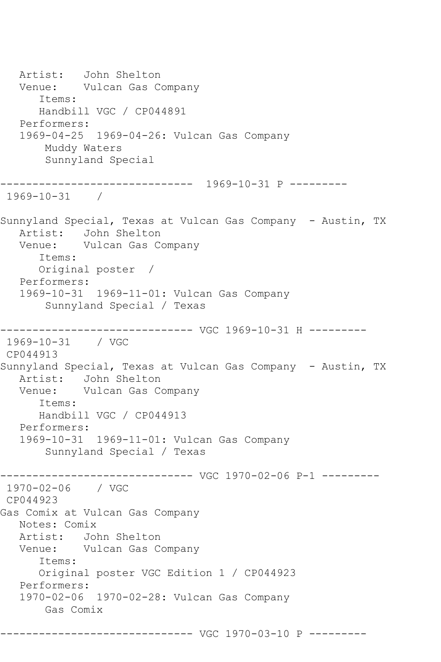Artist: John Shelton Venue: Vulcan Gas Company Items: Handbill VGC / CP044891 Performers: 1969-04-25 1969-04-26: Vulcan Gas Company Muddy Waters Sunnyland Special ------------------------------ 1969-10-31 P --------- 1969-10-31 / Sunnyland Special, Texas at Vulcan Gas Company - Austin, TX Artist: John Shelton Venue: Vulcan Gas Company Items: Original poster / Performers: 1969-10-31 1969-11-01: Vulcan Gas Company Sunnyland Special / Texas ------------------------------ VGC 1969-10-31 H --------- 1969-10-31 / VGC CP044913 Sunnyland Special, Texas at Vulcan Gas Company - Austin, TX Artist: John Shelton Venue: Vulcan Gas Company Items: Handbill VGC / CP044913 Performers: 1969-10-31 1969-11-01: Vulcan Gas Company Sunnyland Special / Texas ------------------------------ VGC 1970-02-06 P-1 --------- 1970-02-06 / VGC CP044923 Gas Comix at Vulcan Gas Company Notes: Comix Artist: John Shelton Venue: Vulcan Gas Company Items: Original poster VGC Edition 1 / CP044923 Performers: 1970-02-06 1970-02-28: Vulcan Gas Company Gas Comix ------------------------------ VGC 1970-03-10 P ---------